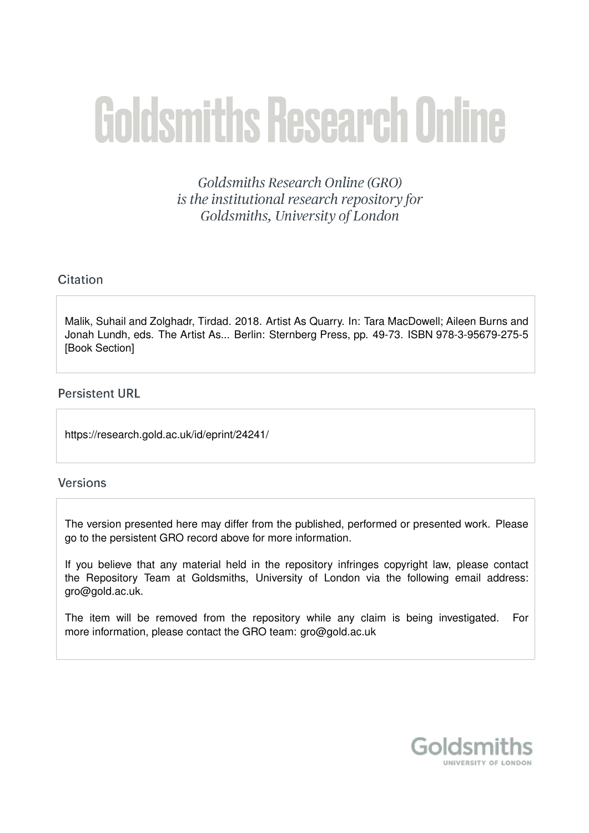# **Goldsmiths Research Online**

Goldsmiths Research Online (GRO) is the institutional research repository for Goldsmiths, University of London

# Citation

Malik, Suhail and Zolghadr, Tirdad. 2018. Artist As Quarry. In: Tara MacDowell; Aileen Burns and Jonah Lundh, eds. The Artist As... Berlin: Sternberg Press, pp. 49-73. ISBN 978-3-95679-275-5 [Book Section]

# **Persistent URL**

https://research.gold.ac.uk/id/eprint/24241/

# **Versions**

The version presented here may differ from the published, performed or presented work. Please go to the persistent GRO record above for more information.

If you believe that any material held in the repository infringes copyright law, please contact the Repository Team at Goldsmiths, University of London via the following email address: gro@gold.ac.uk.

The item will be removed from the repository while any claim is being investigated. For more information, please contact the GRO team: gro@gold.ac.uk

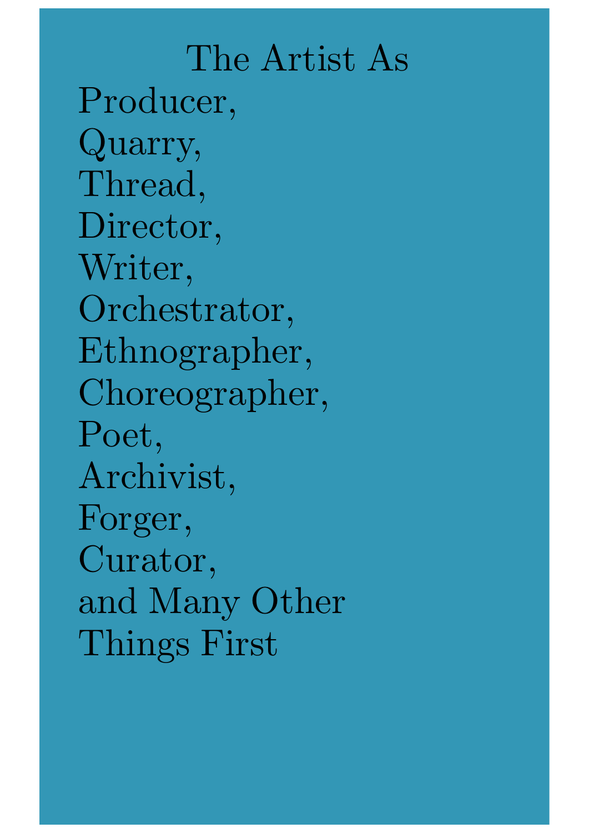The Artist As Producer, Quarry, Thread, Director, Writer, Orchestrator, Ethnographer, Choreographer, Poet, Archivist, Forger, Curator, and Many Other Things First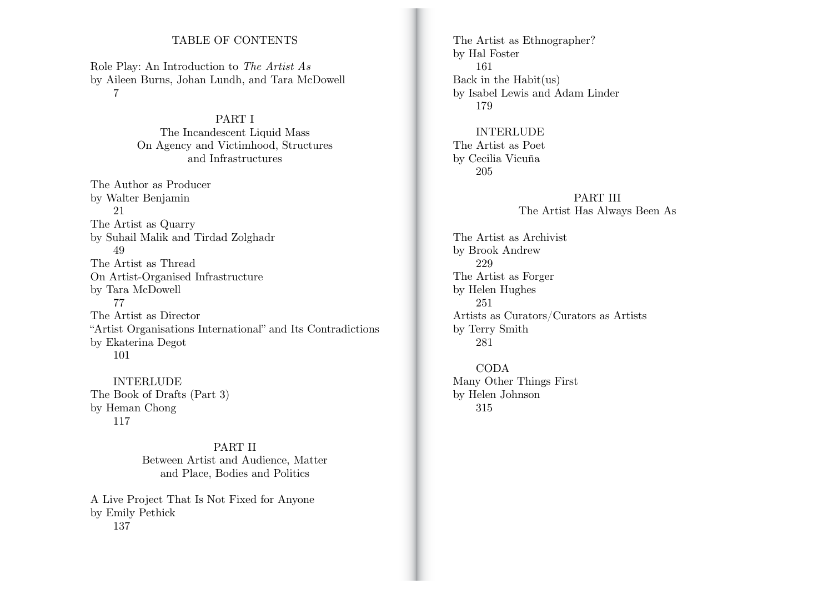## TABLE OF CONTENTS

Role Play: An Introduction to *The Artist As* by Aileen Burns, Johan Lundh, and Tara McDowell 7

> PART I The Incandescent Liquid Mass On Agency and Victimhood, Structures and Infrastructures

The Author as Producer by Walter Benjamin 21 The Artist as Quarry by Suhail Malik and Tirdad Zolghadr 49 The Artist as Thread On Artist-Organised Infrastructure by Tara McDowell 77 The Artist as Director "Artist Organisations International" and Its Contradictions by Ekaterina Degot 101

INTERLUDE The Book of Drafts (Part 3) by Heman Chong 117

> PART II Between Artist and Audience, Matter and Place, Bodies and Politics

A Live Project That Is Not Fixed for Anyone by Emily Pethick 137

The Artist as Ethnographer? by Hal Foster 161 Back in the Habit(us) by Isabel Lewis and Adam Linder 179

INTERLUDE The Artist as Poet by Cecilia Vicuña 205

> PART III The Artist Has Always Been As

The Artist as Archivist by Brook Andrew 229 The Artist as Forger by Helen Hughes 251 Artists as Curators/Curators as Artists by Terry Smith 281

CODA Many Other Things First by Helen Johnson 315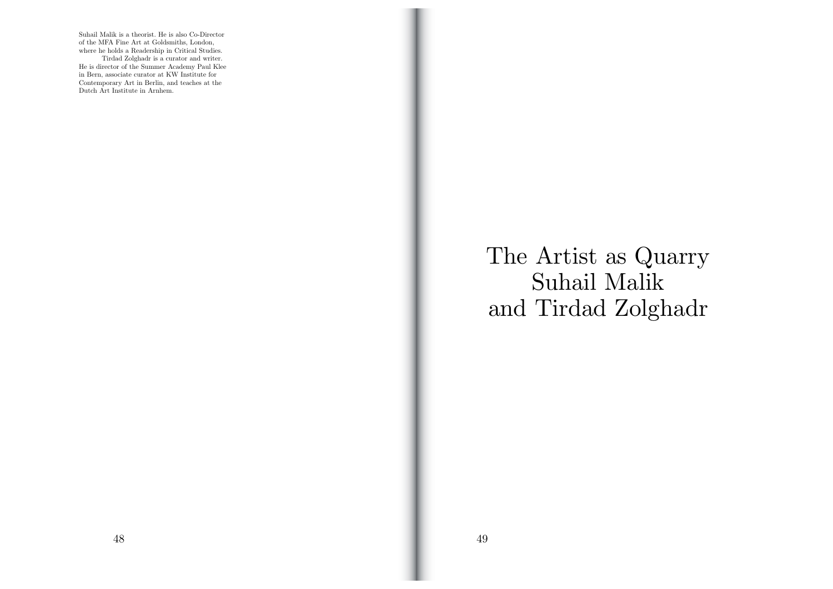Suhail Malik is a theorist. He is also Co-Director of the MFA Fine Art at Goldsmiths, London, where he holds a Readership in Critical Studies. Tirdad Zolghadr is a curator and writer. He is director of the Summer Academy Paul Klee in Bern, associate curator at KW Institute for Contemporary Art in Berlin, and teaches at the Dutch Art Institute in Arnhem.

> The Artist as Quarry Suhail Malik and Tirdad Zolghadr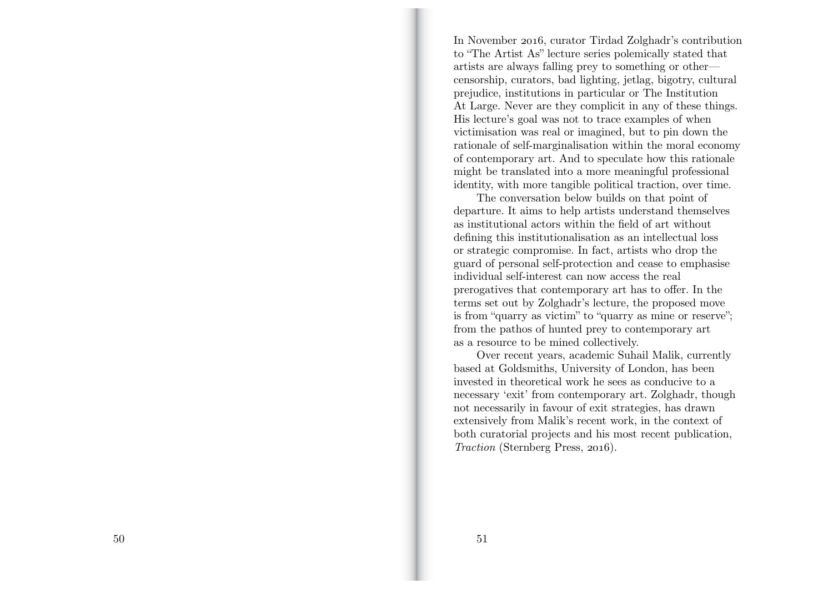In November 2016, curator Tirdad Zolghadr's contribution to "The Artist As" lecture series polemically stated that artists are always falling prey to something or other censorship, curators, bad lighting, jetlag, bigotry, cultural prejudice, institutions in particular or The Institution At Large. Never are they complicit in any of these things. His lecture's goal was not to trace examples of when victimisation was real or imagined, but to pin down the rationale of self-marginalisation within the moral economy of contemporary art. And to speculate how this rationale might be translated into a more meaningful professional identity, with more tangible political traction, over time.

The conversation below builds on that point of departure. It aims to help artists understand themselves as institutional actors within the field of art without defining this institutionalisation as an intellectual loss or strategic compromise. In fact, artists who drop the guard of personal self-protection and cease to emphasise individual self-interest can now access the real prerogatives that contemporary art has to o ffer. In the terms set out by Zolghadr's lecture, the proposed move is from "quarry as victim" to "quarry as mine or reserve"; from the pathos of hunted prey to contemporary art as a resource to be mined collectively.

Over recent years, academic Suhail Malik, currently based at Goldsmiths, University of London, has been invested in theoretical work he sees as conducive to a necessary 'exit' from contemporary art. Zolghadr, though not necessarily in favour of exit strategies, has drawn extensively from Malik's recent work, in the context of both curatorial projects and his most recent publication, *Traction* (Sternberg Press, 2016).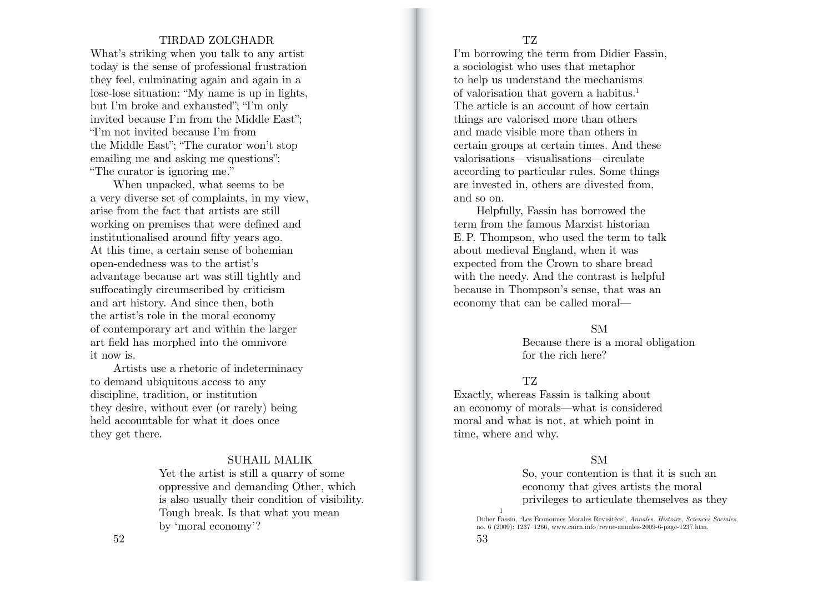## TIRDAD ZOLGHADR

What's striking when you talk to any artist today is the sense of professional frustration they feel, culminating again and again in a lose-lose situation: "My name is up in lights, but I'm broke and exhausted"; "I'm only invited because I'm from the Middle East"; "I'm not invited because I'm from the Middle East"; "The curator won't stop emailing me and asking me questions"; "The curator is ignoring me."

When unpacked, what seems to be a very diverse set of complaints, in my view, arise from the fact that artists are still working on premises that were defined and institutionalised around fifty years ago. At this time, a certain sense of bohemian open-endedness was to the artist's advantage because art was still tightly and su ffocatingly circumscribed by criticism and art history. And since then, both the artist's role in the moral economy of contemporary art and within the larger art field has morphed into the omnivore it now is.

Artists use a rhetoric of indeterminacy to demand ubiquitous access to any discipline, tradition, or institution they desire, without ever (or rarely) being held accountable for what it does once they get there.

## SUHAIL MALIK

Yet the artist is still a quarry of some oppressive and demanding Other, which is also usually their condition of visibility. Tough break. Is that what you mean by 'moral economy'?

I'm borrowing the term from Didier Fassin, a sociologist who uses that metaphor to help us understand the mechanisms of valorisation that govern a habitus.1 The article is an account of how certain things are valorised more than others and made visible more than others in certain groups at certain times. And these valorisations—visualisations—circulate according to particular rules. Some things are invested in, others are divested from, and so on.

Helpfully, Fassin has borrowed the term from the famous Marxist historian E. P. Thompson, who used the term to talk about medieval England, when it was expected from the Crown to share bread with the needy. And the contrast is helpful because in Thompson's sense, that was an economy that can be called moral—

SM

Because there is a moral obligation for the rich here?

#### TZ

Exactly, whereas Fassin is talking about an economy of morals—what is considered moral and what is not, at which point in time, where and why.

## SM

So, your contention is that it is such an economy that gives artists the moral privileges to articulate themselves as they 1

Didier Fassin, "Les Économies Morales Revisitées", *Annales. Histoire, Sciences Sociales*, no. 6 (2009): 1237–1266, www.cairn.info/revue-annales-2009-6-page-1237.htm.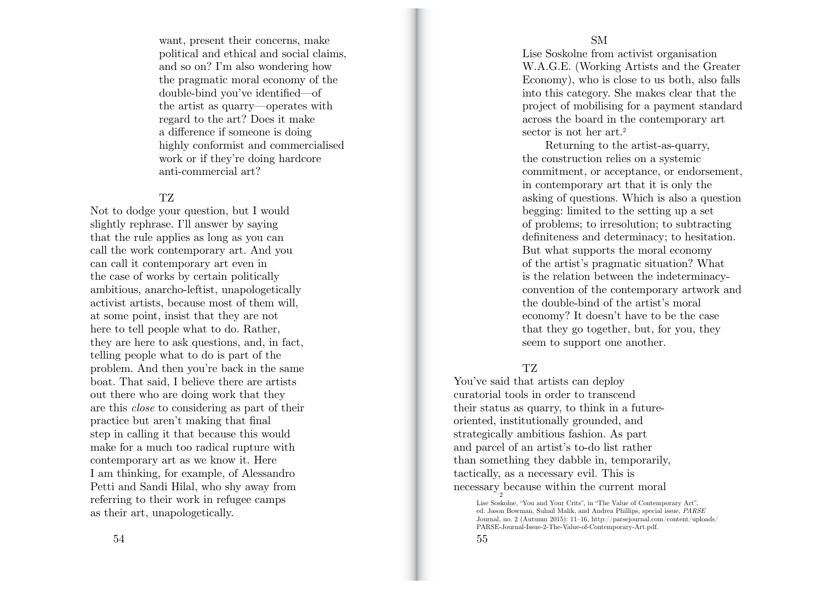want, present their concerns, make political and ethical and social claims, and so on? I'm also wondering how the pragmatic moral economy of the double-bind you've identified—of the artist as quarry—operates with regard to the art? Does it make a di fference if someone is doing highly conformist and commercialised work or if they're doing hardcore anti-commercial art?

#### TZ

Not to dodge your question, but I would slightly rephrase. I'll answer by saying that the rule applies as long as you can call the work contemporary art. And you can call it contemporary art even in the case of works by certain politically ambitious, anarcho-leftist, unapologetically activist artists, because most of them will, at some point, insist that they are not here to tell people what to do. Rather, they are here to ask questions, and, in fact, telling people what to do is part of the problem. And then you're back in the same boat. That said, I believe there are artists out there who are doing work that they are this *close* to considering as part of their practice but aren't making that final step in calling it that because this would make for a much too radical rupture with contemporary art as we know it. Here I am thinking, for example, of Alessandro Petti and Sandi Hilal, who shy away from referring to their work in refugee camps as their art, unapologetically.

Lise Soskolne from activist organisation W.A.G.E. (Working Artists and the Greater Economy), who is close to us both, also falls into this category. She makes clear that the project of mobilising for a payment standard across the board in the contemporary art sector is not her art.<sup>2</sup>

Returning to the artist-as-quarry, the construction relies on a systemic commitment, or acceptance, or endorsement, in contemporary art that it is only the asking of questions. Which is also a question begging: limited to the setting up a set of problems; to irresolution; to subtracting definiteness and determinacy; to hesitation. But what supports the moral economy of the artist's pragmatic situation? What is the relation between the indeterminacyconvention of the contemporary artwork and the double-bind of the artist's moral economy? It doesn't have to be the case that they go together, but, for you, they seem to support one another.

## TZ

You've said that artists can deploy curatorial tools in order to transcend their status as quarry, to think in a futureoriented, institutionally grounded, and strategically ambitious fashion. As part and parcel of an artist's to-do list rather than something they dabble in, temporarily, tactically, as a necessary evil. This is necessary because within the current moral 2

Lise Soskolne, "You and Your Crits", in "The Value of Contemporary Art", ed. Jason Bowman, Suhail Malik, and Andrea Phillips, special issue, *PARSE* Journal, no. 2 (Autumn 2015): 11–16, http://parsejournal.com/content/uploads/ PARSE-Journal-Issue-2-The-Value-of-Contemporary-Art.pdf.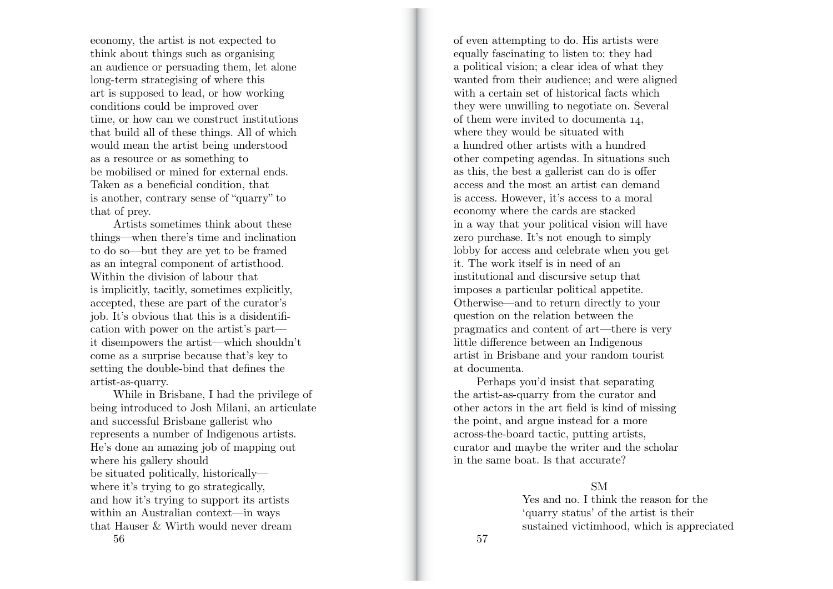economy, the artist is not expected to think about things such as organising an audience or persuading them, let alone long-term strategising of where this art is supposed to lead, or how working conditions could be improved over time, or how can we construct institutions that build all of these things. All of which would mean the artist being understood as a resource or as something to be mobilised or mined for external ends. Taken as a beneficial condition, that is another, contrary sense of "quarry" to that of prey.

Artists sometimes think about these things—when there's time and inclination to do so—but they are yet to be framed as an integral component of artisthood. Within the division of labour that is implicitly, tacitly, sometimes explicitly, accepted, these are part of the curator's job. It's obvious that this is a disidenti fication with power on the artist's part it disempowers the artist—which shouldn't come as a surprise because that's key to setting the double-bind that defines the artist-as-quarry.

 $56$  56 While in Brisbane, I had the privilege of being introduced to Josh Milani, an articulate and successful Brisbane gallerist who represents a number of Indigenous artists. He's done an amazing job of mapping out where his gallery should be situated politically, historically where it's trying to go strategically. and how it's trying to support its artists within an Australian context—in ways that Hauser & Wirth would never dream

of even attempting to do. His artists were equally fascinating to listen to: they had a political vision; a clear idea of what they wanted from their audience; and were aligned with a certain set of historical facts which they were unwilling to negotiate on. Several of them were invited to documenta 14, where they would be situated with a hundred other artists with a hundred other competing agendas. In situations such as this, the best a gallerist can do is o ffer access and the most an artist can demand is access. However, it's access to a moral economy where the cards are stacked in a way that your political vision will have zero purchase. It's not enough to simply lobby for access and celebrate when you get it. The work itself is in need of an institutional and discursive setup that imposes a particular political appetite. Otherwise—and to return directly to your question on the relation between the pragmatics and content of art—there is very little di fference between an Indigenous artist in Brisbane and your random tourist at documenta.

Perhaps you'd insist that separating the artist-as-quarry from the curator and other actors in the art field is kind of missing the point, and argue instead for a more across-the-board tactic, putting artists, curator and maybe the writer and the scholar in the same boat. Is that accurate?

## SM

Yes and no. I think the reason for the 'quarry status' of the artist is their sustained victimhood, which is appreciated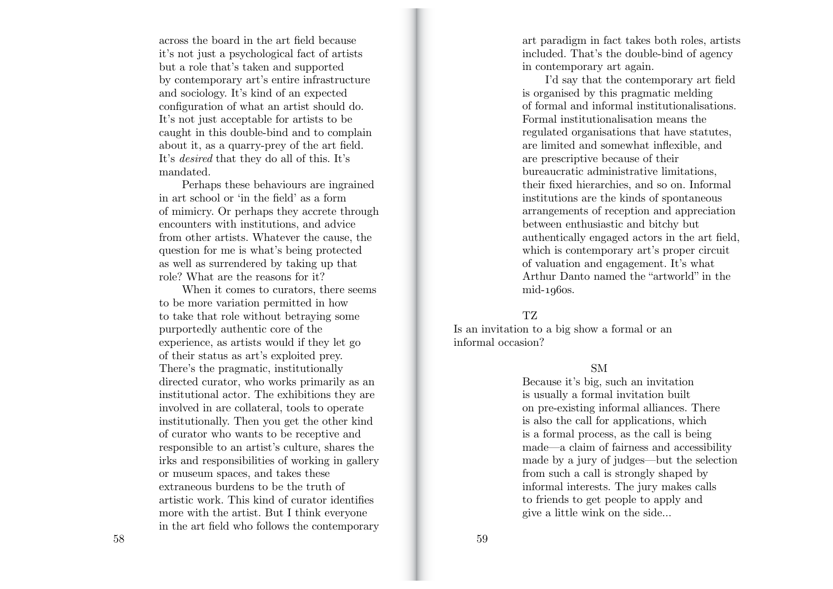across the board in the art field because it's not just a psychological fact of artists but a role that's taken and supported by contemporary art's entire infrastructure and sociology. It's kind of an expected configuration of what an artist should do. It's not just acceptable for artists to be caught in this double-bind and to complain about it, as a quarry-prey of the art field. It's *desired* that they do all of this. It's mandated.

Perhaps these behaviours are ingrained in art school or 'in the field' as a form of mimicry. Or perhaps they accrete through encounters with institutions, and advice from other artists. Whatever the cause, the question for me is what's being protected as well as surrendered by taking up that role? What are the reasons for it?

When it comes to curators, there seems to be more variation permitted in how to take that role without betraying some purportedly authentic core of the experience, as artists would if they let go of their status as art's exploited prey. There's the pragmatic, institutionally directed curator, who works primarily as an institutional actor. The exhibitions they are involved in are collateral, tools to operate institutionally. Then you get the other kind of curator who wants to be receptive and responsible to an artist's culture, shares the irks and responsibilities of working in gallery or museum spaces, and takes these extraneous burdens to be the truth of artistic work. This kind of curator identifies more with the artist. But I think everyone in the art field who follows the contemporary art paradigm in fact takes both roles, artists included. That's the double-bind of agency in contemporary art again.

I'd say that the contemporary art field is organised by this pragmatic melding of formal and informal institutionalisations. Formal institutionalisation means the regulated organisations that have statutes, are limited and somewhat inflexible, and are prescriptive because of their bureaucratic administrative limitations, their fixed hierarchies, and so on. Informal institutions are the kinds of spontaneous arrangements of reception and appreciation between enthusiastic and bitchy but authentically engaged actors in the art field, which is contemporary art's proper circuit of valuation and engagement. It's what Arthur Danto named the "artworld" in the mid-1960s.

#### TZ

Is an invitation to a big show a formal or an informal occasion?

## SM

Because it's big, such an invitation is usually a formal invitation built on pre-existing informal alliances. There is also the call for applications, which is a formal process, as the call is being made—a claim of fairness and accessibility made by a jury of judges—but the selection from such a call is strongly shaped by informal interests. The jury makes calls to friends to get people to apply and give a little wink on the side…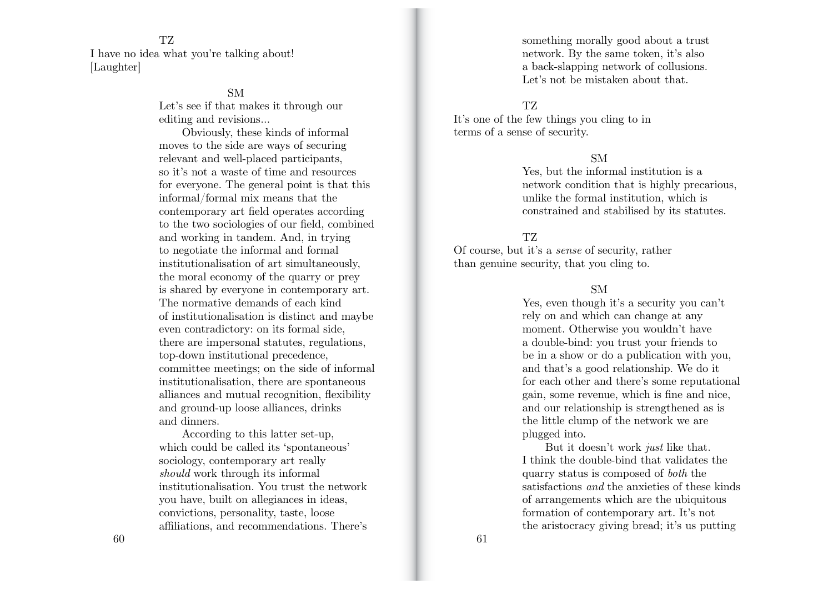TZ I have no idea what you're talking about! [Laughter]

## SM

Let's see if that makes it through our editing and revisions…

Obviously, these kinds of informal moves to the side are ways of securing relevant and well-placed participants, so it's not a waste of time and resources for everyone. The general point is that this informal/formal mix means that the contemporary art field operates according to the two sociologies of our field, combined and working in tandem. And, in trying to negotiate the informal and formal institutionalisation of art simultaneously, the moral economy of the quarry or prey is shared by everyone in contemporary art. The normative demands of each kind of institutionalisation is distinct and maybe even contradictory: on its formal side, there are impersonal statutes, regulations, top-down institutional precedence, committee meetings; on the side of informal institutionalisation, there are spontaneous alliances and mutual recognition, flexibility and ground-up loose alliances, drinks and dinners.

According to this latter set-up, which could be called its 'spontaneous' sociology, contemporary art really *should* work through its informal institutionalisation. You trust the network you have, built on allegiances in ideas, convictions, personality, taste, loose a ffiliations, and recommendations. There's something morally good about a trust network. By the same token, it's also a back-slapping network of collusions. Let's not be mistaken about that.

## TZ

It's one of the few things you cling to in terms of a sense of security.

## SM

Yes, but the informal institution is a network condition that is highly precarious, unlike the formal institution, which is constrained and stabilised by its statutes.

## TZ

Of course, but it's a *sense* of security, rather than genuine security, that you cling to.

## SM

Yes, even though it's a security you can't rely on and which can change at any moment. Otherwise you wouldn't have a double-bind: you trust your friends to be in a show or do a publication with you, and that's a good relationship. We do it for each other and there's some reputational gain, some revenue, which is fine and nice, and our relationship is strengthened as is the little clump of the network we are plugged into.

But it doesn't work *just* like that. I think the double-bind that validates the quarry status is composed of *both* the satisfactions *and* the anxieties of these kinds of arrangements which are the ubiquitous formation of contemporary art. It's not the aristocracy giving bread; it's us putting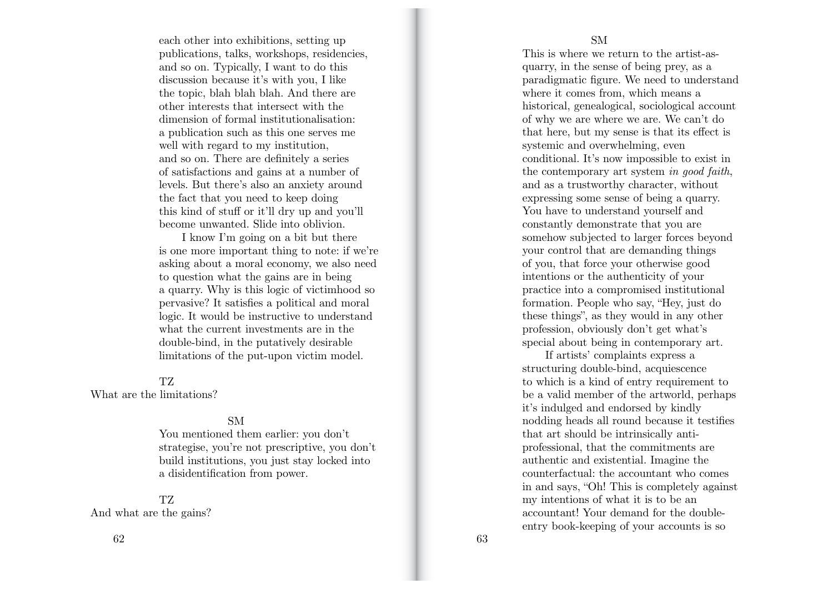each other into exhibitions, setting up publications, talks, workshops, residencies, and so on. Typically, I want to do this discussion because it's with you, I like the topic, blah blah blah. And there are other interests that intersect with the dimension of formal institutionalisation: a publication such as this one serves me well with regard to my institution. and so on. There are definitely a series of satisfactions and gains at a number of levels. But there's also an anxiety around the fact that you need to keep doing this kind of stu ff or it'll dry up and you'll become unwanted. Slide into oblivion.

I know I'm going on a bit but there is one more important thing to note: if we're asking about a moral economy, we also need to question what the gains are in being a quarry. Why is this logic of victimhood so pervasive? It satisfies a political and moral logic. It would be instructive to understand what the current investments are in the double-bind, in the putatively desirable limitations of the put-upon victim model.

#### TZ

What are the limitations?

## SM

You mentioned them earlier: you don't strategise, you're not prescriptive, you don't build institutions, you just stay locked into a disidentification from power.

# TZ

And what are the gains?

This is where we return to the artist-asquarry, in the sense of being prey, as a paradigmatic figure. We need to understand where it comes from, which means a historical, genealogical, sociological account of why we are where we are. We can't do that here, but my sense is that its e ffect is systemic and overwhelming, even conditional. It's now impossible to exist in the contemporary art system *in good faith*, and as a trustworthy character, without expressing some sense of being a quarry. You have to understand yourself and constantly demonstrate that you are somehow subjected to larger forces beyond your control that are demanding things of you, that force your otherwise good intentions or the authenticity of your practice into a compromised institutional formation. People who say, "Hey, just do these things", as they would in any other profession, obviously don't get what's special about being in contemporary art.

If artists' complaints express a structuring double-bind, acquiescence to which is a kind of entry requirement to be a valid member of the artworld, perhaps it's indulged and endorsed by kindly nodding heads all round because it testifies that art should be intrinsically antiprofessional, that the commitments are authentic and existential. Imagine the counterfactual: the accountant who comes in and says, "Oh! This is completely against my intentions of what it is to be an accountant! Your demand for the doubleentry book-keeping of your accounts is so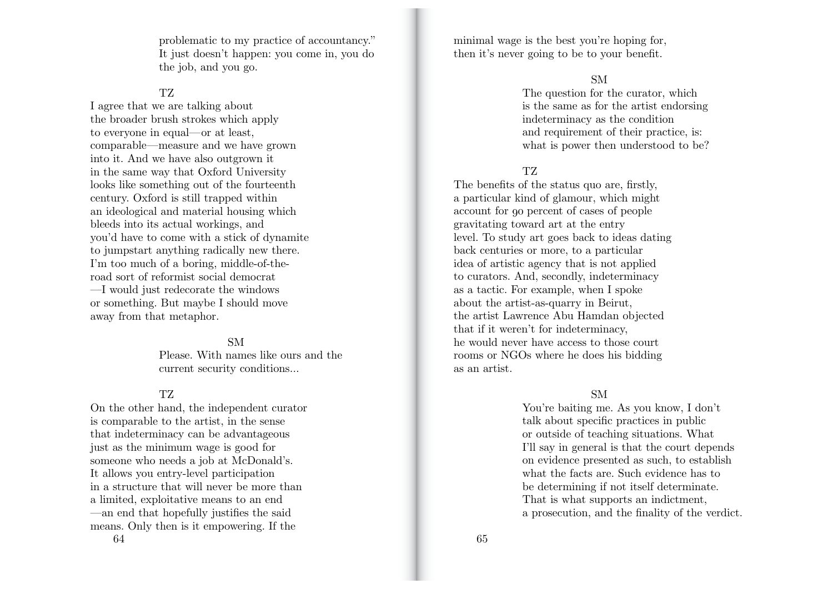problematic to my practice of accountancy." It just doesn't happen: you come in, you do the job, and you go.

## TZ

I agree that we are talking about the broader brush strokes which apply to everyone in equal—or at least, comparable—measure and we have grown into it. And we have also outgrown it in the same way that Oxford University looks like something out of the fourteenth century. Oxford is still trapped within an ideological and material housing which bleeds into its actual workings, and you'd have to come with a stick of dynamite to jumpstart anything radically new there. I'm too much of a boring, middle-of-theroad sort of reformist social democrat —I would just redecorate the windows or something. But maybe I should move away from that metaphor.

#### SM

Please. With names like ours and the current security conditions…

## TZ

 $64$  65 On the other hand, the independent curator is comparable to the artist, in the sense that indeterminacy can be advantageous just as the minimum wage is good for someone who needs a job at McDonald's. It allows you entry-level participation in a structure that will never be more than a limited, exploitative means to an end —an end that hopefully justifies the said means. Only then is it empowering. If the

minimal wage is the best you're hoping for, then it's never going to be to your benefit.

## SM

The question for the curator, which is the same as for the artist endorsing indeterminacy as the condition and requirement of their practice, is: what is power then understood to be?

## TZ.

The benefits of the status quo are, firstly, a particular kind of glamour, which might account for 90 percent of cases of people gravitating toward art at the entry level. To study art goes back to ideas dating back centuries or more, to a particular idea of artistic agency that is not applied to curators. And, secondly, indeterminacy as a tactic. For example, when I spoke about the artist-as-quarry in Beirut, the artist Lawrence Abu Hamdan objected that if it weren't for indeterminacy, he would never have access to those court rooms or NGOs where he does his bidding as an artist.

## SM

You're baiting me. As you know, I don't talk about specific practices in public or outside of teaching situations. What I'll say in general is that the court depends on evidence presented as such, to establish what the facts are. Such evidence has to be determining if not itself determinate. That is what supports an indictment, a prosecution, and the finality of the verdict.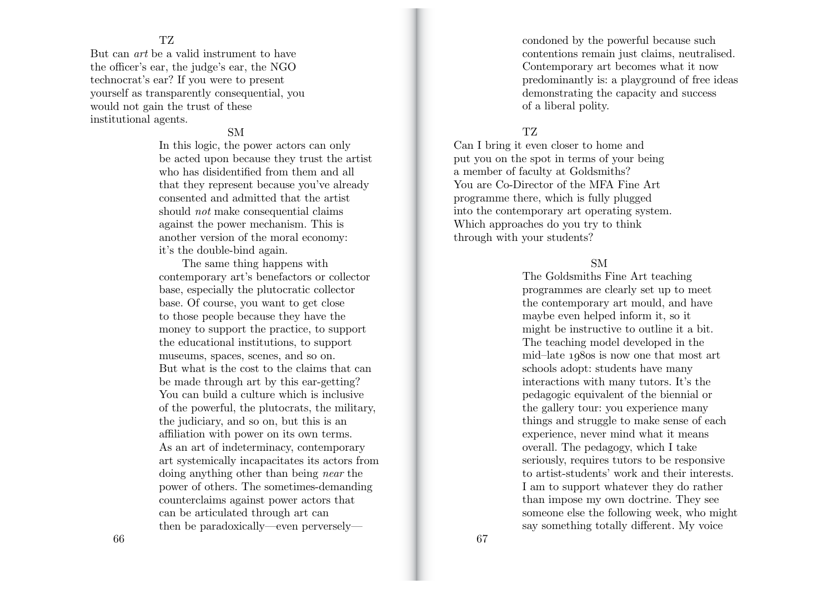#### TZ

But can *art* be a valid instrument to have the o fficer's ear, the judge's ear, the NGO technocrat's ear? If you were to present yourself as transparently consequential, you would not gain the trust of these institutional agents.

## SM

In this logic, the power actors can only be acted upon because they trust the artist who has disidentified from them and all that they represent because you've already consented and admitted that the artist should *not* make consequential claims against the power mechanism. This is another version of the moral economy: it's the double-bind again.

The same thing happens with contemporary art's benefactors or collector base, especially the plutocratic collector base. Of course, you want to get close to those people because they have the money to support the practice, to support the educational institutions, to support museums, spaces, scenes, and so on. But what is the cost to the claims that can be made through art by this ear-getting? You can build a culture which is inclusive of the powerful, the plutocrats, the military, the judiciary, and so on, but this is an a ffiliation with power on its own terms. As an art of indeterminacy, contemporary art systemically incapacitates its actors from doing anything other than being *near* the power of others. The sometimes-demanding counterclaims against power actors that can be articulated through art can then be paradoxically—even perverselycondoned by the powerful because such contentions remain just claims, neutralised. Contemporary art becomes what it now predominantly is: a playground of free ideas demonstrating the capacity and success of a liberal polity.

## TZ

Can I bring it even closer to home and put you on the spot in terms of your being a member of faculty at Goldsmiths? You are Co-Director of the MFA Fine Art programme there, which is fully plugged into the contemporary art operating system. Which approaches do you try to think through with your students?

## SM

The Goldsmiths Fine Art teaching programmes are clearly set up to meet the contemporary art mould, and have maybe even helped inform it, so it might be instructive to outline it a bit. The teaching model developed in the mid–late 1980s is now one that most art schools adopt: students have many interactions with many tutors. It's the pedagogic equivalent of the biennial or the gallery tour: you experience many things and struggle to make sense of each experience, never mind what it means overall. The pedagogy, which I take seriously, requires tutors to be responsive to artist-students' work and their interests. I am to support whatever they do rather than impose my own doctrine. They see someone else the following week, who might say something totally di fferent. My voice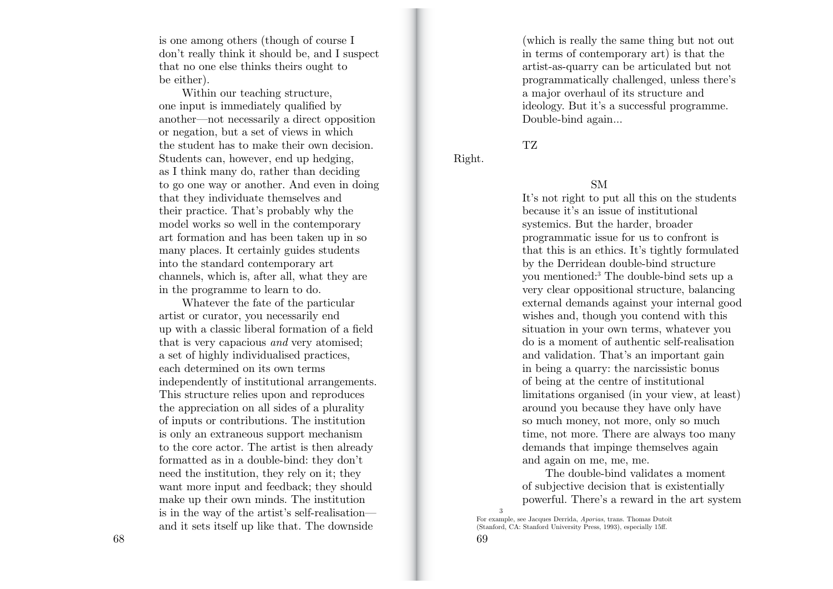is one among others (though of course I don't really think it should be, and I suspect that no one else thinks theirs ought to be either).

Within our teaching structure, one input is immediately qualified by another—not necessarily a direct opposition or negation, but a set of views in which the student has to make their own decision. Students can, however, end up hedging, as I think many do, rather than deciding to go one way or another. And even in doing that they individuate themselves and their practice. That's probably why the model works so well in the contemporary art formation and has been taken up in so many places. It certainly guides students into the standard contemporary art channels, which is, after all, what they are in the programme to learn to do.

Whatever the fate of the particular artist or curator, you necessarily end up with a classic liberal formation of a field that is very capacious *and* very atomised; a set of highly individualised practices, each determined on its own terms independently of institutional arrangements. This structure relies upon and reproduces the appreciation on all sides of a plurality of inputs or contributions. The institution is only an extraneous support mechanism to the core actor. The artist is then already formatted as in a double-bind: they don't need the institution, they rely on it; they want more input and feedback; they should make up their own minds. The institution is in the way of the artist's self-realisation and it sets itself up like that. The downside

 $68$  68

(which is really the same thing but not out in terms of contemporary art) is that the artist-as-quarry can be articulated but not programmatically challenged, unless there's a major overhaul of its structure and ideology. But it's a successful programme. Double-bind again…

TZ

Right.

#### SM

It's not right to put all this on the students because it's an issue of institutional systemics. But the harder, broader programmatic issue for us to confront is that this is an ethics. It's tightly formulated by the Derridean double-bind structure you mentioned:3 The double-bind sets up a very clear oppositional structure, balancing external demands against your internal good wishes and, though you contend with this situation in your own terms, whatever you do is a moment of authentic self-realisation and validation. That's an important gain in being a quarry: the narcissistic bonus of being at the centre of institutional limitations organised (in your view, at least) around you because they have only have so much money, not more, only so much time, not more. There are always too many demands that impinge themselves again and again on me, me, me.

The double-bind validates a moment of subjective decision that is existentially powerful. There's a reward in the art system 3

For example, see Jacques Derrida, *Aporias*, trans. Thomas Dutoit (Stanford, CA: Stanford University Press, 1993), especially 15ff.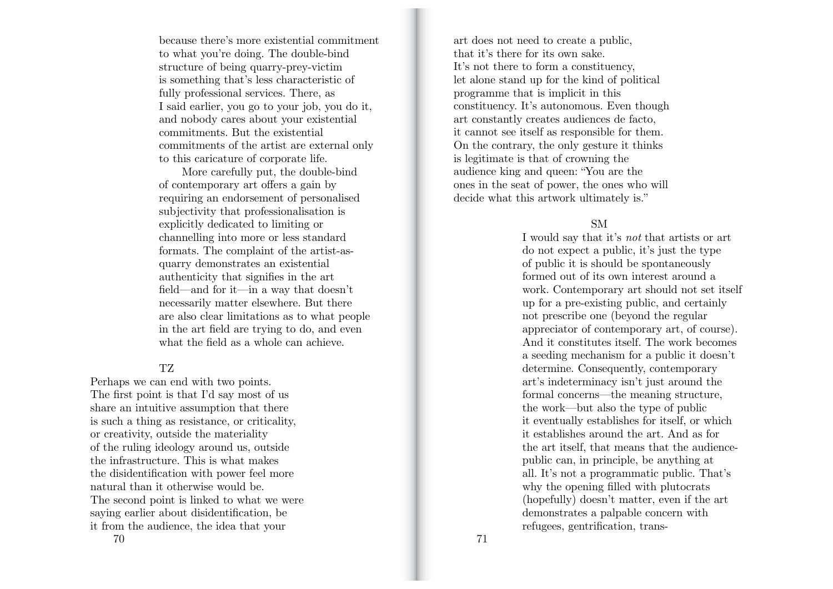because there's more existential commitment<br>to what you're doing. The double-bind<br>structure of being quarry-prey-victim<br>is something that's less characteristic of<br>fully professional services. There, as<br>I said earlier, you

of contemporary art offers a gain by requiring an endorsement of personalised subjectivity that professionalisation is explicitly dedicated to limiting or channelling into more or less standard formats. The complaint of the artist-asquarry demonstrates an existential authenticity that signifies in the art field—and for it—in a way that doesn't necessarily matter elsewhere. But there are also clear limitations as to what people in the art field are trying to do, and even what the field as a whole can achieve.

## TZ

Perhaps we can end with two points. The first point is that I'd say most of us share an intuitive assumption that there is such a thing as resistance, or criticality, or creativity, outside the materiality of the ruling ideology around us, outside the infrastructure. This is what makes the disidentification with power feel more natural than it otherwise would be. The second point is linked to what we were saying earlier about disidentification, be it from the audience, the idea that your

art does not need to create a public, that it's there for its own sake. It's not there to form a constituency, let alone stand up for the kind of political programme that is implicit in this constituency. It's autonomous. Even though art constantly creates audiences de facto, it cannot see itself as responsible for them. On the contrary, the only gesture it thinks is legitimate is that of crowning the audience king and queen: "You are the ones in the seat of power, the ones who will decide what this artwork ultimately is."

## SM

I would say that it's *not* that artists or art do not expect a public, it's just the type of public it is should be spontaneously formed out of its own interest around a work. Contemporary art should not set itself up for a pre-existing public, and certainly not prescribe one (beyond the regular appreciator of contemporary art, of course). And it constitutes itself. The work becomes a seeding mechanism for a public it doesn't determine. Consequently, contemporary art's indeterminacy isn't just around the formal concerns—the meaning structure, the work—but also the type of public it eventually establishes for itself, or which it establishes around the art. And as for the art itself, that means that the audiencepublic can, in principle, be anything at all. It's not a programmatic public. That's why the opening filled with plutocrats (hopefully) doesn't matter, even if the art demonstrates a palpable concern with refugees, gentrification, trans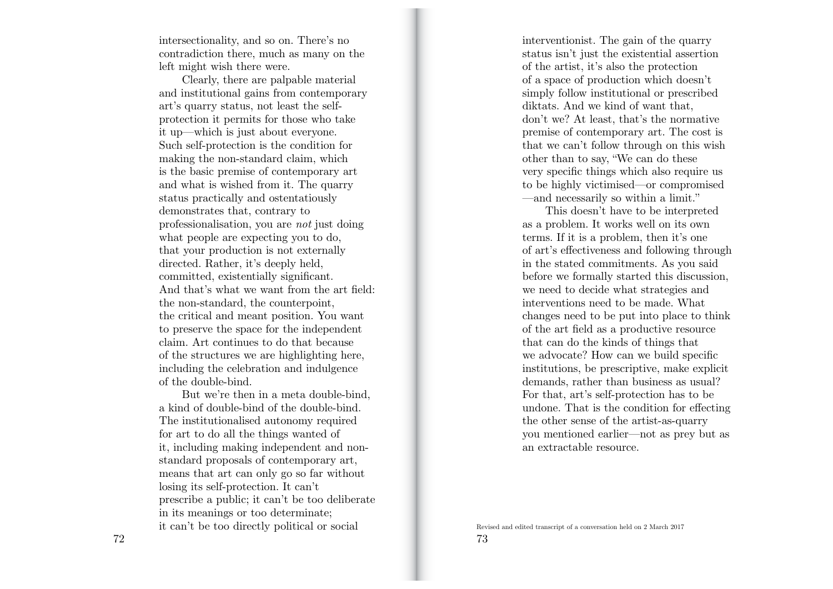intersectionality, and so on. There's no contradiction there, much as many on the left might wish there were.

Clearly, there are palpable material and institutional gains from contemporary art's quarry status, not least the selfprotection it permits for those who take it up—which is just about everyone. Such self-protection is the condition for making the non-standard claim, which is the basic premise of contemporary art and what is wished from it. The quarry status practically and ostentatiously demonstrates that, contrary to professionalisation, you are *not* just doing what people are expecting you to do, that your production is not externally directed. Rather, it's deeply held, committed, existentially significant. And that's what we want from the art field: the non-standard, the counterpoint, the critical and meant position. You want to preserve the space for the independent claim. Art continues to do that because of the structures we are highlighting here, including the celebration and indulgence of the double-bind.

But we're then in a meta double-bind, a kind of double-bind of the double-bind. The institutionalised autonomy required for art to do all the things wanted of it, including making independent and nonstandard proposals of contemporary art, means that art can only go so far without losing its self-protection. It can't prescribe a public; it can't be too deliberate in its meanings or too determinate; it can't be too directly political or social

interventionist. The gain of the quarry status isn't just the existential assertion of the artist, it's also the protection of a space of production which doesn't simply follow institutional or prescribed diktats. And we kind of want that, don't we? At least, that's the normative premise of contemporary art. The cost is that we can't follow through on this wish other than to say, "We can do these very specific things which also require us to be highly victimised—or compromised —and necessarily so within a limit."

This doesn't have to be interpreted as a problem. It works well on its own terms. If it is a problem, then it's one of art's e ffectiveness and following through in the stated commitments. As you said before we formally started this discussion, we need to decide what strategies and interventions need to be made. What changes need to be put into place to think of the art field as a productive resource that can do the kinds of things that we advocate? How can we build specific institutions, be prescriptive, make explicit demands, rather than business as usual? For that, art's self-protection has to be undone. That is the condition for e ffecting the other sense of the artist-as-quarry you mentioned earlier—not as prey but as an extractable resource.

Revised and edited transcript of a conversation held on 2 March 2017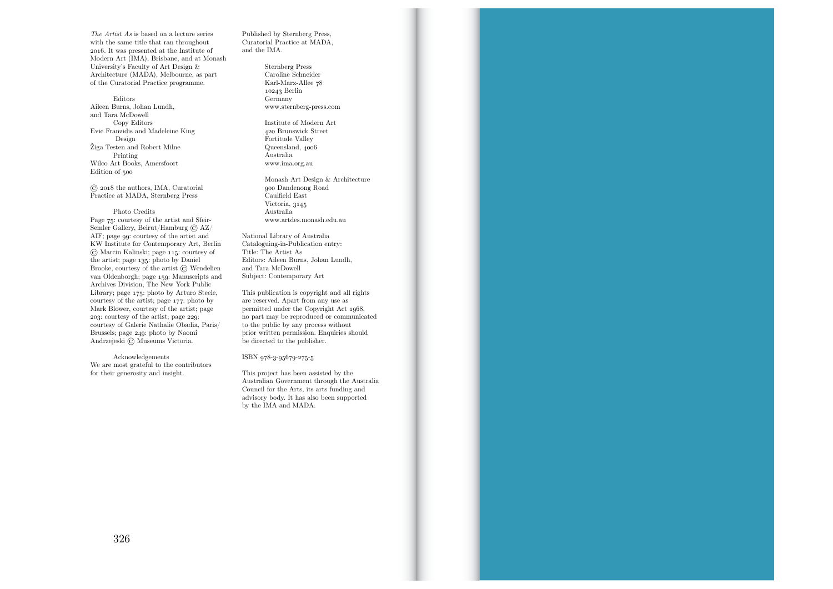*The Artist As* is based on a lecture series with the same title that ran throughout 2016. It was presented at the Institute of Modern Art (IMA), Brisbane, and at Monash University's Faculty of Art Design & Architecture (MADA), Melbourne, as part of the Curatorial Practice programme.

Editors Aileen Burns, Johan Lundh, and Tara McDowell Copy Editors Evie Franzidis and Madeleine King Design Žiga Testen and Robert Milne Printing Wilco Art Books, Amersfoort Edition of 500

© 2018 the authors, IMA, Curatorial Practice at MADA, Sternberg Press

#### Photo Credits

Page 75: courtesy of the artist and Sfeir-Semler Gallery, Beirut/Hamburg © AZ/ AIF; page 99: courtesy of the artist and KW Institute for Contemporary Art, Berlin © Marcin Kalinski; page 115: courtesy of the artist; page 135: photo by Daniel Brooke, courtesy of the artist © Wendelien van Oldenborgh; page 159: Manuscripts and Archives Division, The New York Public Library; page 175: photo by Arturo Steele, courtesy of the artist; page 177: photo by Mark Blower, courtesy of the artist; page 203: courtesy of the artist; page 229: courtesy of Galerie Nathalie Obadia, Paris/ Brussels; page 249: photo by Naomi Andrzejeski © Museums Victoria.

Acknowledgements We are most grateful to the contributors for their generosity and insight.

Published by Sternberg Press, Curatorial Practice at MADA, and the IMA.

> Sternberg Press Caroline Schneider Karl-Marx-Allee 78 10243 Berlin Germany www.sternberg-press.com

Institute of Modern Art 420 Brunswick Street Fortitude Valley Queensland, 4006 Australia www.ima.org.au

Monash Art Design & Architecture 900 Dandenong Road Caulfield East Victoria, 3145 Australia www.artdes.monash.edu.au

National Library of Australia Cataloguing-in-Publication entry: Title: The Artist As Editors: Aileen Burns, Johan Lundh, and Tara McDowell Subject: Contemporary Art

This publication is copyright and all rights are reserved. Apart from any use as permitted under the Copyright Act 1968, no part may be reproduced or communicated to the public by any process without prior written permission. Enquiries should be directed to the publisher.

ISBN 978-3-95679-275-5

This project has been assisted by the Australian Government through the Australia Council for the Arts, its arts funding and advisory body. It has also been supported by the IMA and MADA.